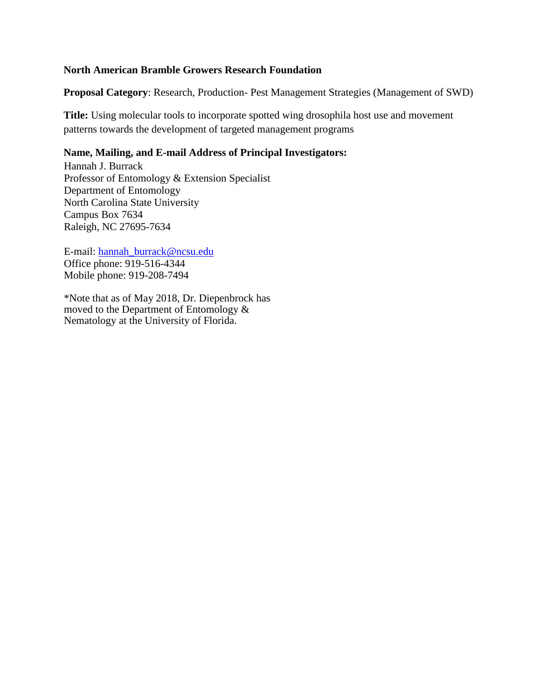#### **North American Bramble Growers Research Foundation**

**Proposal Category**: Research, Production- Pest Management Strategies (Management of SWD)

**Title:** Using molecular tools to incorporate spotted wing drosophila host use and movement patterns towards the development of targeted management programs

### **Name, Mailing, and E-mail Address of Principal Investigators:**

Hannah J. Burrack Professor of Entomology & Extension Specialist Department of Entomology North Carolina State University Campus Box 7634 Raleigh, NC 27695-7634

E-mail: [hannah\\_burrack@ncsu.edu](mailto:hannah_burrack@ncsu.edu) Office phone: 919-516-4344 Mobile phone: 919-208-7494

\*Note that as of May 2018, Dr. Diepenbrock has moved to the Department of Entomology & Nematology at the University of Florida.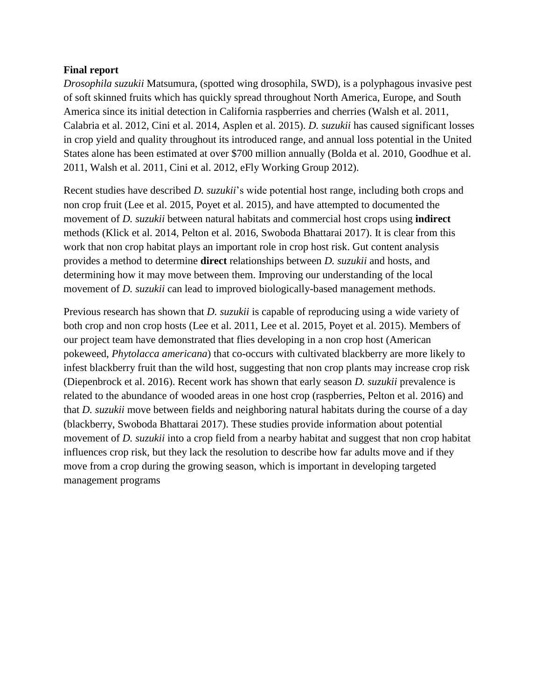#### **Final report**

*Drosophila suzukii* Matsumura, (spotted wing drosophila, SWD), is a polyphagous invasive pest of soft skinned fruits which has quickly spread throughout North America, Europe, and South America since its initial detection in California raspberries and cherries (Walsh et al. 2011, Calabria et al. 2012, Cini et al. 2014, Asplen et al. 2015). *D. suzukii* has caused significant losses in crop yield and quality throughout its introduced range, and annual loss potential in the United States alone has been estimated at over \$700 million annually (Bolda et al. 2010, Goodhue et al. 2011, Walsh et al. 2011, Cini et al. 2012, eFly Working Group 2012).

Recent studies have described *D. suzukii*'s wide potential host range, including both crops and non crop fruit (Lee et al. 2015, Poyet et al. 2015)*,* and have attempted to documented the movement of *D. suzukii* between natural habitats and commercial host crops using **indirect**  methods (Klick et al. 2014, Pelton et al. 2016, Swoboda Bhattarai 2017). It is clear from this work that non crop habitat plays an important role in crop host risk. Gut content analysis provides a method to determine **direct** relationships between *D. suzukii* and hosts, and determining how it may move between them. Improving our understanding of the local movement of *D. suzukii* can lead to improved biologically-based management methods.

Previous research has shown that *D. suzukii* is capable of reproducing using a wide variety of both crop and non crop hosts (Lee et al. 2011, Lee et al. 2015, Poyet et al. 2015). Members of our project team have demonstrated that flies developing in a non crop host (American pokeweed, *Phytolacca americana*) that co-occurs with cultivated blackberry are more likely to infest blackberry fruit than the wild host, suggesting that non crop plants may increase crop risk (Diepenbrock et al. 2016). Recent work has shown that early season *D. suzukii* prevalence is related to the abundance of wooded areas in one host crop (raspberries, Pelton et al. 2016) and that *D. suzukii* move between fields and neighboring natural habitats during the course of a day (blackberry, Swoboda Bhattarai 2017). These studies provide information about potential movement of *D. suzukii* into a crop field from a nearby habitat and suggest that non crop habitat influences crop risk, but they lack the resolution to describe how far adults move and if they move from a crop during the growing season, which is important in developing targeted management programs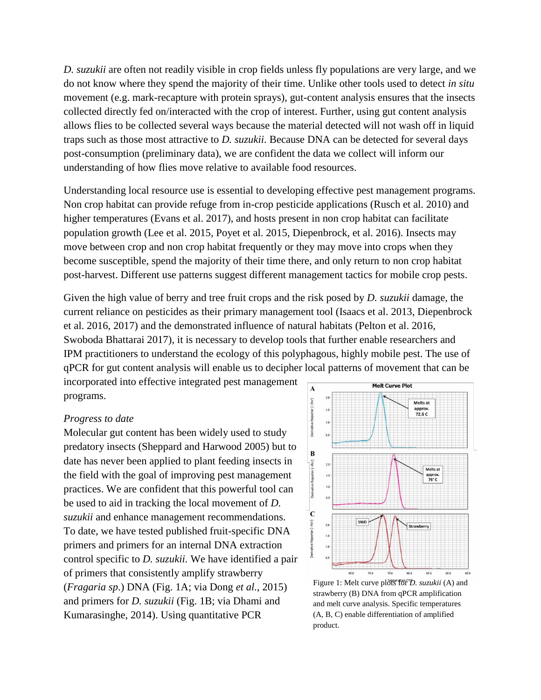*D. suzukii* are often not readily visible in crop fields unless fly populations are very large, and we do not know where they spend the majority of their time. Unlike other tools used to detect *in situ*  movement (e.g. mark-recapture with protein sprays), gut-content analysis ensures that the insects collected directly fed on/interacted with the crop of interest. Further, using gut content analysis allows flies to be collected several ways because the material detected will not wash off in liquid traps such as those most attractive to *D. suzukii*. Because DNA can be detected for several days post-consumption (preliminary data), we are confident the data we collect will inform our understanding of how flies move relative to available food resources.

Understanding local resource use is essential to developing effective pest management programs. Non crop habitat can provide refuge from in-crop pesticide applications (Rusch et al. 2010) and higher temperatures (Evans et al. 2017), and hosts present in non crop habitat can facilitate population growth (Lee et al. 2015, Poyet et al. 2015, Diepenbrock, et al. 2016). Insects may move between crop and non crop habitat frequently or they may move into crops when they become susceptible, spend the majority of their time there, and only return to non crop habitat post-harvest. Different use patterns suggest different management tactics for mobile crop pests.

Given the high value of berry and tree fruit crops and the risk posed by *D. suzukii* damage, the current reliance on pesticides as their primary management tool (Isaacs et al. 2013, Diepenbrock et al. 2016, 2017) and the demonstrated influence of natural habitats (Pelton et al. 2016, Swoboda Bhattarai 2017), it is necessary to develop tools that further enable researchers and IPM practitioners to understand the ecology of this polyphagous, highly mobile pest. The use of qPCR for gut content analysis will enable us to decipher local patterns of movement that can be

incorporated into effective integrated pest management programs.

#### *Progress to date*

Molecular gut content has been widely used to study predatory insects (Sheppard and Harwood 2005) but to date has never been applied to plant feeding insects in the field with the goal of improving pest management practices. We are confident that this powerful tool can be used to aid in tracking the local movement of *D. suzukii* and enhance management recommendations. To date, we have tested published fruit-specific DNA primers and primers for an internal DNA extraction control specific to *D. suzukii.* We have identified a pair of primers that consistently amplify strawberry (*Fragaria sp*.) DNA (Fig. 1A; via Dong *et al.*, 2015) and primers for *D. suzukii* (Fig. 1B; via Dhami and Kumarasinghe, 2014). Using quantitative PCR



Figure 1: Melt curve plots for *D. suzukii* (A) and strawberry (B) DNA from qPCR amplification and melt curve analysis. Specific temperatures (A, B, C) enable differentiation of amplified product.